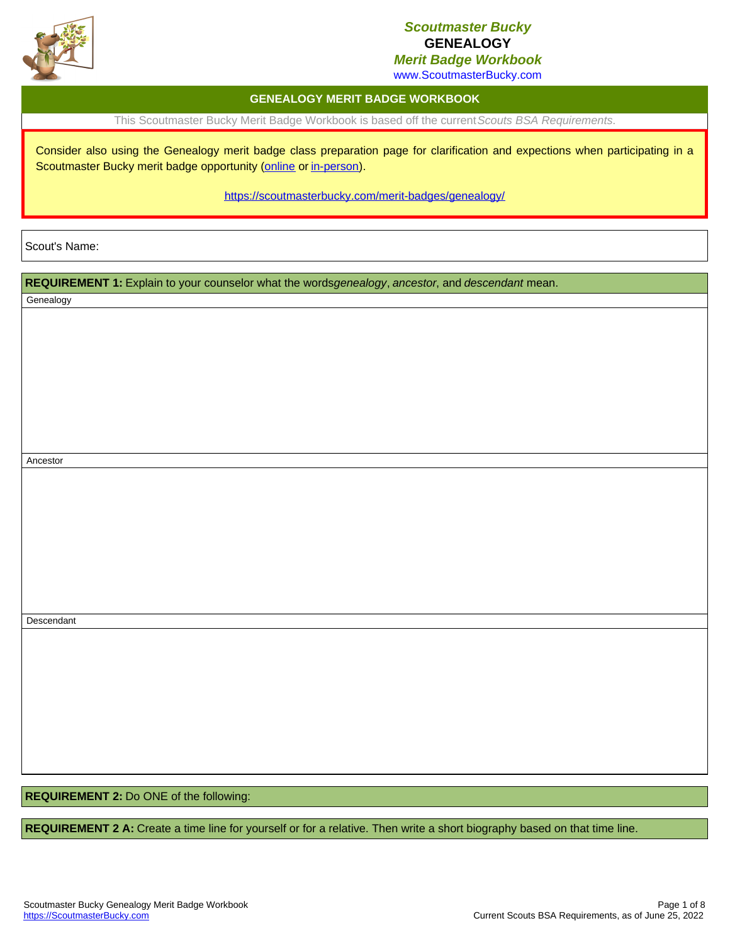

# *Scoutmaster Bucky* **GENEALOGY**

*Merit Badge Workbook*

www.ScoutmasterBucky.com

### **GENEALOGY MERIT BADGE WORKBOOK**

This Scoutmaster Bucky Merit Badge Workbook is based off the current*Scouts BSA Requirements*.

Consider also using the Genealogy merit badge class preparation page for clarification and expections when participating in a Scoutmaster Bucky merit badge opportunity ([online](http://localhost:8080/merit-badges/genealogy/?notes=online) or [in-person](http://localhost:8080/merit-badges/genealogy/?notes=inPerson)).

<https://scoutmasterbucky.com/merit-badges/genealogy/>

Scout's Name:

**REQUIREMENT 1:** Explain to your counselor what the words*genealogy*, *ancestor*, and *descendant* mean.

Genealogy

Ancestor

Descendant

**REQUIREMENT 2:** Do ONE of the following:

**[REQUIREMENT](https://scoutmasterbucky.com) 2 A:** Create a time line for yourself or for a relative. Then write a short biography based on that time line.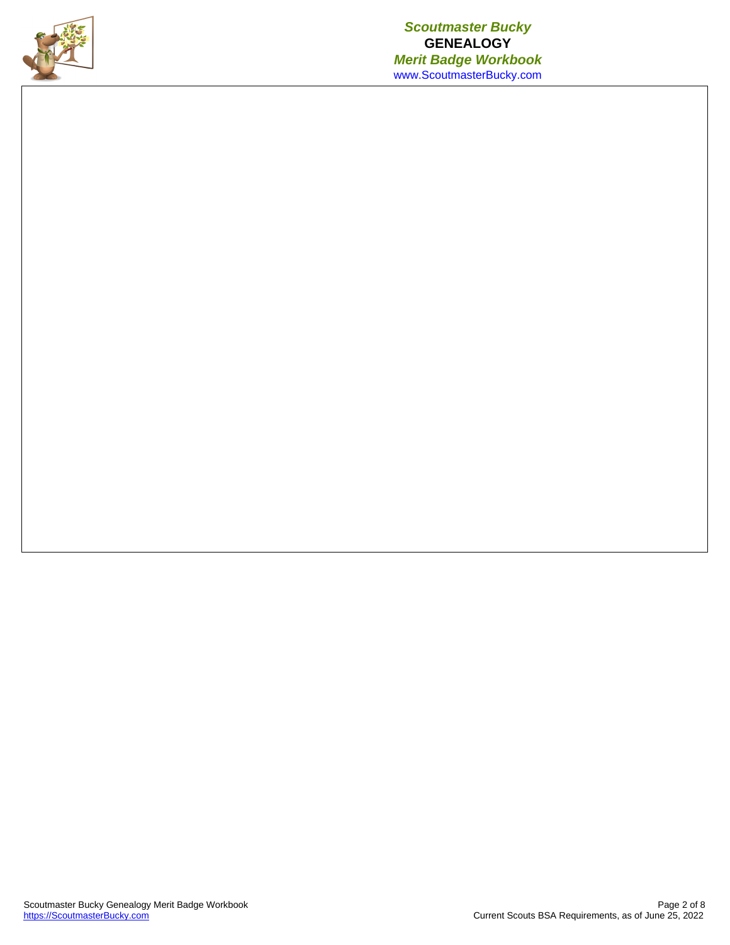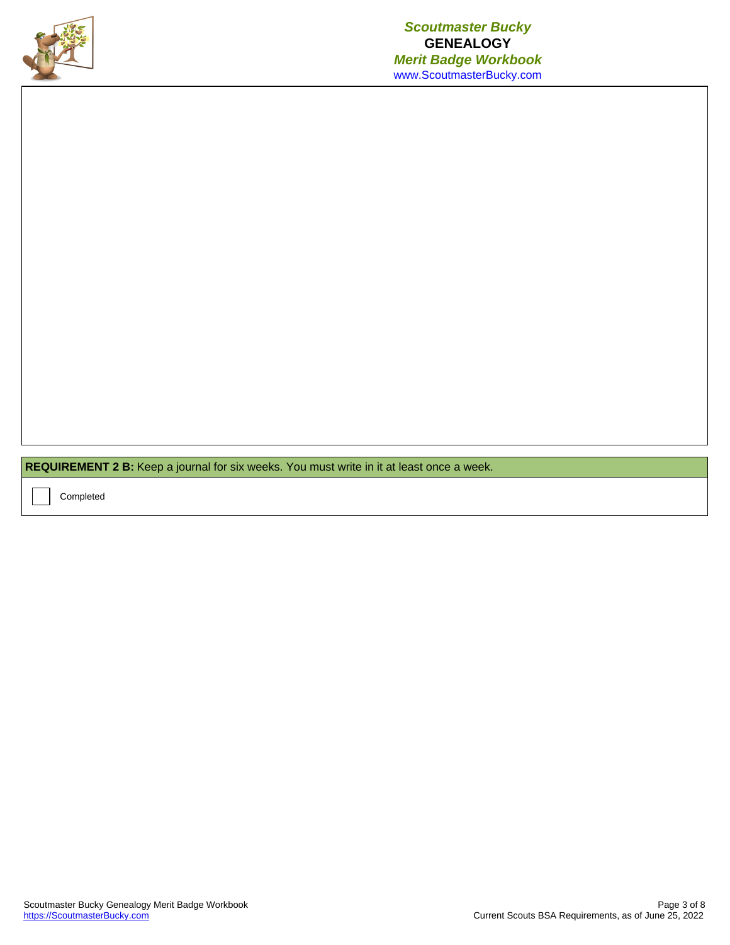

**REQUIREMENT 2 B:** Keep a journal for six weeks. You must write in it at least once a week.

Completed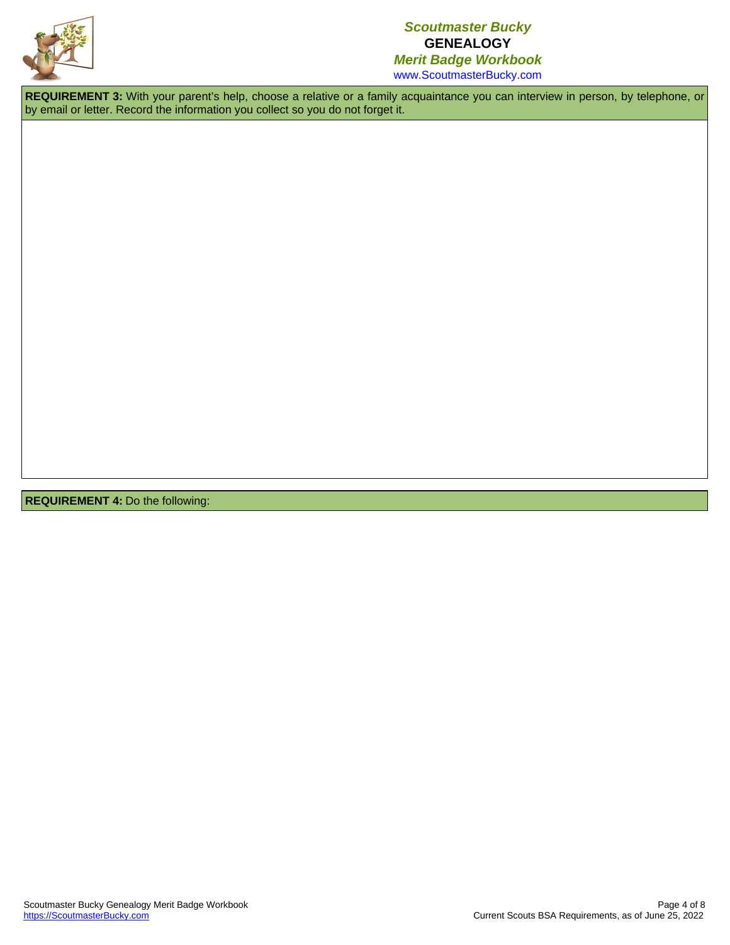

## *Scoutmaster Bucky* **GENEALOGY** *Merit Badge Workbook*

www.ScoutmasterBucky.com

**REQUIREMENT 3:** With your parent's help, choose a relative or a family acquaintance you can interview in person, by telephone, or by email or letter. Record the information you collect so you do not forget it.

**REQUIREMENT 4:** Do the following: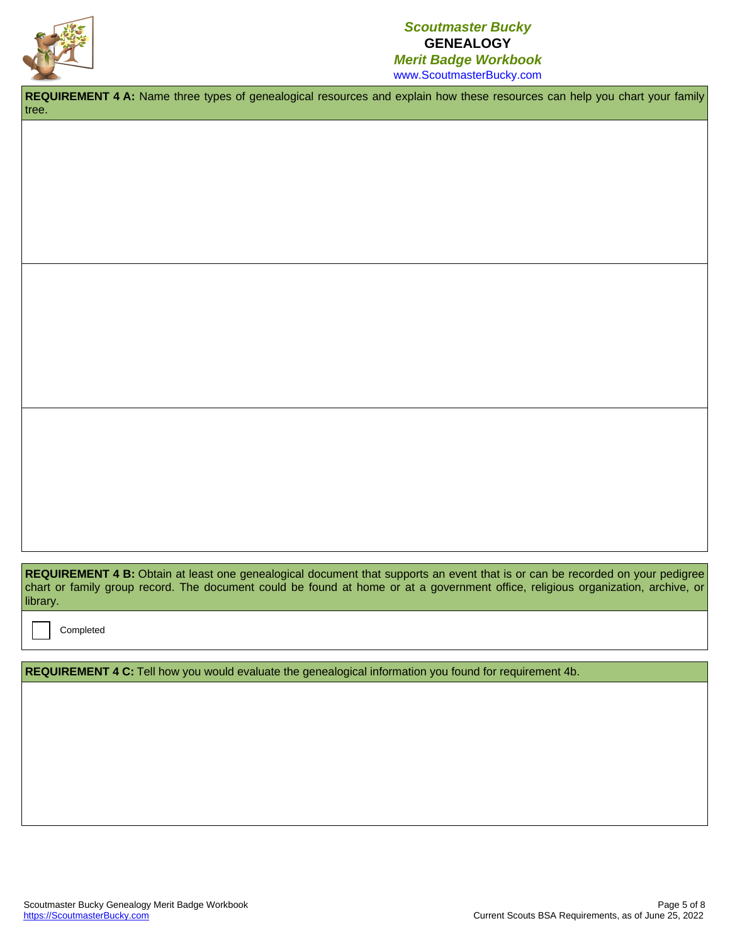

### *Scoutmaster Bucky* **GENEALOGY** *Merit Badge Workbook*

www.ScoutmasterBucky.com

REQUIREMENT 4 A: Name three types of genealogical resources and explain how these resources can help you chart your family tree.

**REQUIREMENT 4 B:** Obtain at least one genealogical document that supports an event that is or can be recorded on your pedigree chart or family group record. The document could be found at home or at a government office, religious organization, archive, or library.

Completed

**REQUIREMENT 4 C:** Tell how you would evaluate the genealogical information you found for requirement 4b.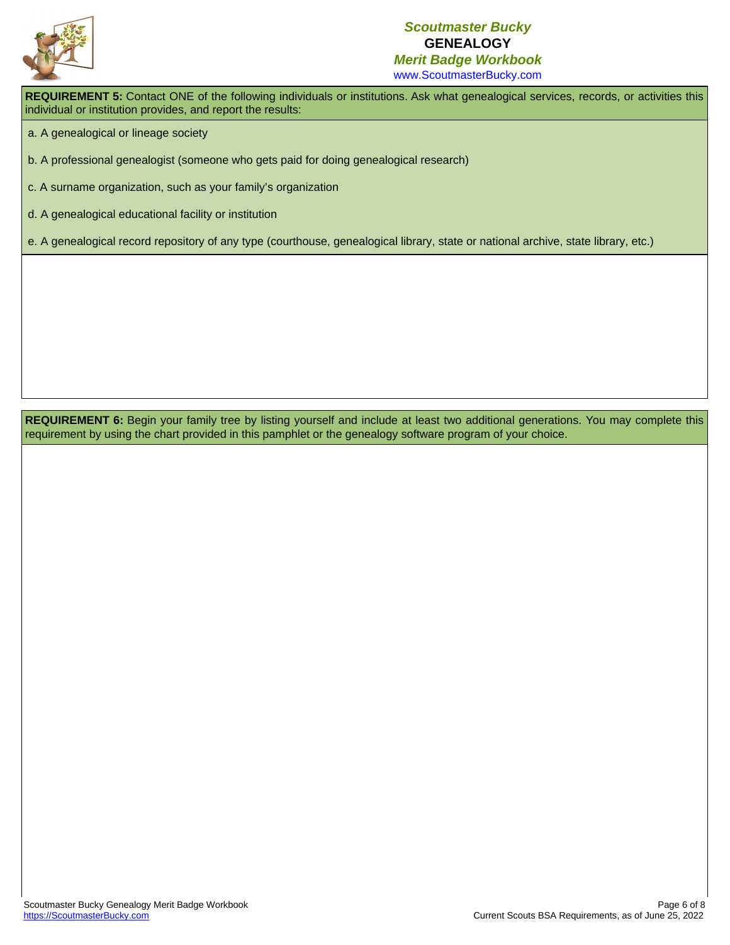

**REQUIREMENT 5:** Contact ONE of the following individuals or institutions. Ask what genealogical services, records, or activities this individual or institution provides, and report the results:

a. A genealogical or lineage society

b. A professional genealogist (someone who gets paid for doing genealogical research)

c. A surname organization, such as your family's organization

d. A genealogical educational facility or institution

e. A genealogical record repository of any type (courthouse, genealogical library, state or national archive, state library, etc.)

**REQUIREMENT 6:** Begin your family tree by listing yourself and include at least two additional generations. You may complete this requirement by using the chart provided in this pamphlet or the genealogy software program of your choice.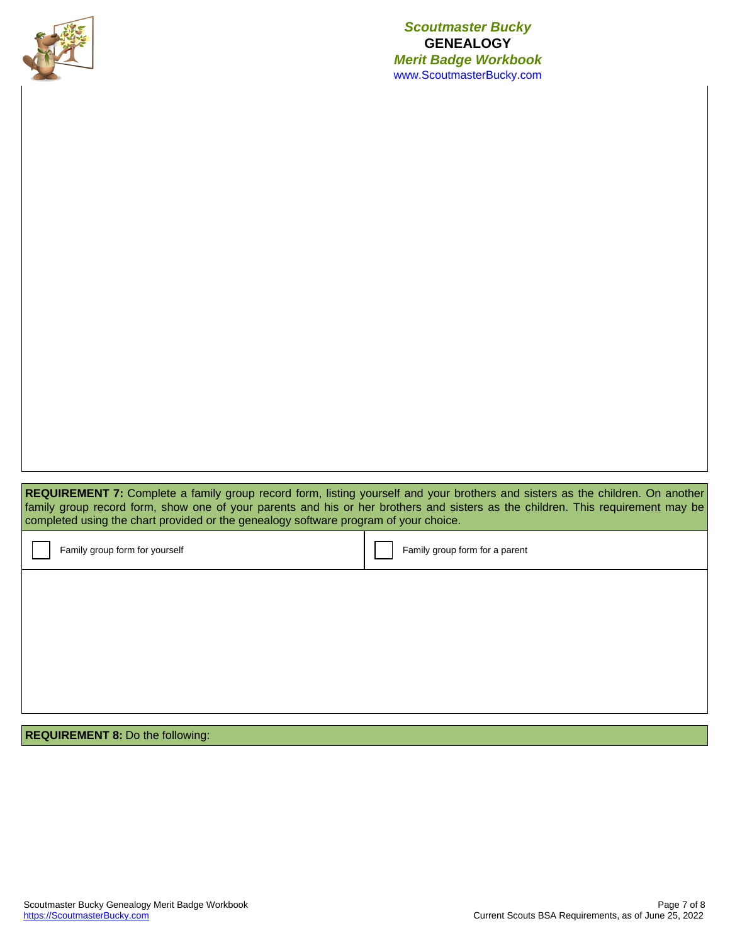

*Scoutmaster Bucky* **GENEALOGY** *Merit Badge Workbook* www.ScoutmasterBucky.com

REQUIREMENT 7: Complete a family group record form, listing yourself and your brothers and sisters as the children. On another family group record form, show one of your parents and his or her brothers and sisters as the children. This requirement may be completed using the chart provided or the genealogy software program of your choice. Family group form for yourself Family group form for a parent

#### **REQUIREMENT 8:** Do the following: